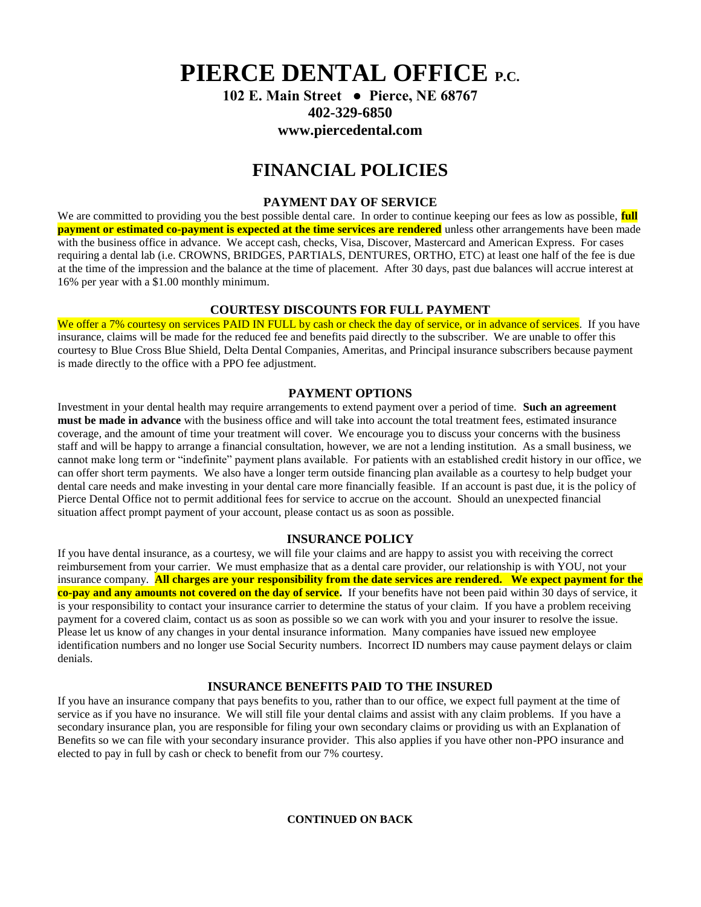**PIERCE DENTAL OFFICE P.C.**

**102 E. Main Street ● Pierce, NE 68767 402-329-6850 www.piercedental.com**

# **FINANCIAL POLICIES**

# **PAYMENT DAY OF SERVICE**

We are committed to providing you the best possible dental care. In order to continue keeping our fees as low as possible, **full payment or estimated co-payment is expected at the time services are rendered** unless other arrangements have been made with the business office in advance. We accept cash, checks, Visa, Discover, Mastercard and American Express. For cases requiring a dental lab (i.e. CROWNS, BRIDGES, PARTIALS, DENTURES, ORTHO, ETC) at least one half of the fee is due at the time of the impression and the balance at the time of placement. After 30 days, past due balances will accrue interest at 16% per year with a \$1.00 monthly minimum.

## **COURTESY DISCOUNTS FOR FULL PAYMENT**

We offer a 7% courtesy on services PAID IN FULL by cash or check the day of service, or in advance of services. If you have insurance, claims will be made for the reduced fee and benefits paid directly to the subscriber. We are unable to offer this courtesy to Blue Cross Blue Shield, Delta Dental Companies, Ameritas, and Principal insurance subscribers because payment is made directly to the office with a PPO fee adjustment.

### **PAYMENT OPTIONS**

Investment in your dental health may require arrangements to extend payment over a period of time. **Such an agreement must be made in advance** with the business office and will take into account the total treatment fees, estimated insurance coverage, and the amount of time your treatment will cover. We encourage you to discuss your concerns with the business staff and will be happy to arrange a financial consultation, however, we are not a lending institution. As a small business, we cannot make long term or "indefinite" payment plans available. For patients with an established credit history in our office, we can offer short term payments. We also have a longer term outside financing plan available as a courtesy to help budget your dental care needs and make investing in your dental care more financially feasible. If an account is past due, it is the policy of Pierce Dental Office not to permit additional fees for service to accrue on the account. Should an unexpected financial situation affect prompt payment of your account, please contact us as soon as possible.

#### **INSURANCE POLICY**

If you have dental insurance, as a courtesy, we will file your claims and are happy to assist you with receiving the correct reimbursement from your carrier. We must emphasize that as a dental care provider, our relationship is with YOU, not your insurance company. **All charges are your responsibility from the date services are rendered. We expect payment for the co-pay and any amounts not covered on the day of service.** If your benefits have not been paid within 30 days of service, it is your responsibility to contact your insurance carrier to determine the status of your claim. If you have a problem receiving payment for a covered claim, contact us as soon as possible so we can work with you and your insurer to resolve the issue. Please let us know of any changes in your dental insurance information. Many companies have issued new employee identification numbers and no longer use Social Security numbers. Incorrect ID numbers may cause payment delays or claim denials.

## **INSURANCE BENEFITS PAID TO THE INSURED**

If you have an insurance company that pays benefits to you, rather than to our office, we expect full payment at the time of service as if you have no insurance. We will still file your dental claims and assist with any claim problems. If you have a secondary insurance plan, you are responsible for filing your own secondary claims or providing us with an Explanation of Benefits so we can file with your secondary insurance provider. This also applies if you have other non-PPO insurance and elected to pay in full by cash or check to benefit from our 7% courtesy.

**CONTINUED ON BACK**